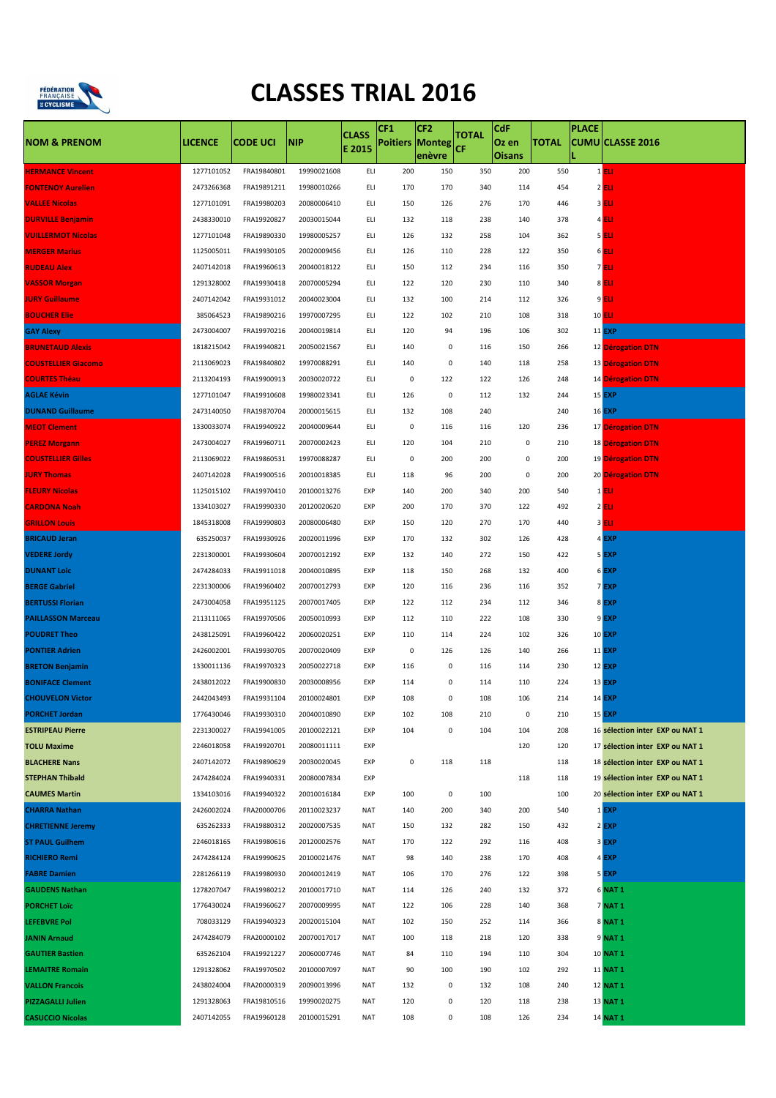

## **CLASSES TRIAL 2016**

|                            |                |                 |             | <b>CLASS</b> | CF <sub>1</sub>        | CF <sub>2</sub> | <b>TOTAL</b> | CdF                    |              | <b>PLACE</b> |                                 |
|----------------------------|----------------|-----------------|-------------|--------------|------------------------|-----------------|--------------|------------------------|--------------|--------------|---------------------------------|
| <b>NOM &amp; PRENOM</b>    | <b>LICENCE</b> | <b>CODE UCI</b> | <b>NIP</b>  | E 2015       | <b>Poitiers Monteg</b> | enèvre          | ĊF           | Oz en<br><b>Oisans</b> | <b>TOTAL</b> |              | <b>CUMU CLASSE 2016</b>         |
| <b>HERMANCE Vincent</b>    | 1277101052     | FRA19840801     | 19990021608 | ELI          | 200                    | 150             | 350          | 200                    | 550          |              | $1$ ELI                         |
| <b>FONTENOY Aurelien</b>   | 2473266368     | FRA19891211     | 19980010266 | ELI          | 170                    | 170             | 340          | 114                    | 454          |              | $2$ ELI                         |
| <b>VALLEE Nicolas</b>      | 1277101091     | FRA19980203     | 20080006410 | ELI          | 150                    | 126             | 276          | 170                    | 446          |              | 3 <b>ELI</b>                    |
| <b>DURVILLE Benjamin</b>   | 2438330010     | FRA19920827     | 20030015044 | ELI          | 132                    | 118             | 238          | 140                    | 378          |              | 4 <b>ELI</b>                    |
| <b>VUILLERMOT Nicolas</b>  | 1277101048     | FRA19890330     | 19980005257 | ELI          | 126                    | 132             | 258          | 104                    | 362          |              | <b>5 ELI</b>                    |
| <b>MERGER Marius</b>       | 1125005011     | FRA19930105     | 20020009456 | ELI          | 126                    | 110             | 228          | 122                    | 350          |              | 6 <b>ELI</b>                    |
| <b>RUDEAU Alex</b>         | 2407142018     | FRA19960613     | 20040018122 | ELI          | 150                    | 112             | 234          | 116                    | 350          |              | 7 <b>ELI</b>                    |
| <b>VASSOR Morgan</b>       | 1291328002     | FRA19930418     | 20070005294 | ELI          | 122                    | 120             | 230          | 110                    | 340          |              | 8 <b>ELI</b>                    |
| <b>JURY Guillaume</b>      | 2407142042     | FRA19931012     | 20040023004 | ELI          | 132                    | 100             | 214          | 112                    | 326          |              | 9 <b>ELI</b>                    |
| <b>BOUCHER Elie</b>        | 385064523      | FRA19890216     | 19970007295 | ELI          | 122                    | 102             | 210          | 108                    | 318          |              | 10 <b>ELI</b>                   |
| <b>GAY Alexy</b>           | 2473004007     | FRA19970216     | 20040019814 | ELI          | 120                    | 94              | 196          | 106                    | 302          |              | <b>11 EXP</b>                   |
| <b>BRUNETAUD Alexis</b>    | 1818215042     | FRA19940821     | 20050021567 | ELI          | 140                    | 0               | 116          | 150                    | 266          |              | 12 Dérogation DTN               |
| <b>COUSTELLIER Giacomo</b> | 2113069023     | FRA19840802     | 19970088291 | ELI          | 140                    | 0               | 140          | 118                    | 258          |              | 13 Dérogation DTN               |
| <b>COURTES Théau</b>       | 2113204193     | FRA19900913     | 20030020722 | ELI          | 0                      | 122             | 122          | 126                    | 248          |              | 14 Dérogation DTN               |
| <b>AGLAE Kévin</b>         | 1277101047     | FRA19910608     | 19980023341 | ELI          | 126                    | $\pmb{0}$       | 112          | 132                    | 244          |              | <b>15 EXP</b>                   |
| <b>DUNAND Guillaume</b>    | 2473140050     | FRA19870704     | 20000015615 | ELI          | 132                    | 108             | 240          |                        | 240          |              | <b>16 EXP</b>                   |
| <b>MEOT Clement</b>        | 1330033074     | FRA19940922     | 20040009644 | ELI          | 0                      | 116             | 116          | 120                    | 236          |              | 17 Dérogation DTN               |
| <b>PEREZ Morgann</b>       | 2473004027     | FRA19960711     | 20070002423 | ELI          | 120                    | 104             | 210          | 0                      | 210          |              | <b>18 Dérogation DTN</b>        |
| <b>COUSTELLIER Gilles</b>  | 2113069022     | FRA19860531     | 19970088287 | ELI          | 0                      | 200             | 200          | 0                      | 200          |              | 19 Dérogation DTN               |
| <b>JURY Thomas</b>         | 2407142028     | FRA19900516     | 20010018385 | ELI          | 118                    | 96              | 200          | 0                      | 200          |              | 20 Dérogation DTN               |
| <b>FLEURY Nicolas</b>      | 1125015102     | FRA19970410     | 20100013276 | EXP          | 140                    | 200             | 340          | 200                    | 540          |              | $1$ ELI                         |
| <b>CARDONA Noah</b>        | 1334103027     | FRA19990330     | 20120020620 | EXP          | 200                    | 170             | 370          | 122                    | 492          |              | $2$ ELI                         |
| <b>GRILLON Louis</b>       | 1845318008     | FRA19990803     | 20080006480 | EXP          | 150                    | 120             | 270          | 170                    | 440          |              | $3$ ELI                         |
| <b>BRICAUD Jeran</b>       | 635250037      | FRA19930926     | 20020011996 | EXP          | 170                    | 132             | 302          | 126                    | 428          |              | 4 EXP                           |
| <b>VEDERE Jordy</b>        | 2231300001     | FRA19930604     | 20070012192 | EXP          | 132                    | 140             | 272          | 150                    | 422          |              | 5 EXP                           |
| <b>DUNANT Loic</b>         | 2474284033     | FRA19911018     | 20040010895 | EXP          | 118                    | 150             | 268          | 132                    | 400          |              | 6 <b>EXP</b>                    |
| <b>BERGE Gabriel</b>       | 2231300006     | FRA19960402     | 20070012793 | EXP          | 120                    | 116             | 236          | 116                    | 352          |              | 7EXP                            |
| <b>BERTUSSI Florian</b>    | 2473004058     | FRA19951125     | 20070017405 | EXP          | 122                    | 112             | 234          | 112                    | 346          |              | 8EXP                            |
| <b>PAILLASSON Marceau</b>  | 2113111065     | FRA19970506     | 20050010993 | EXP          | 112                    | 110             | 222          | 108                    | 330          |              | 9EXP                            |
| <b>POUDRET Theo</b>        | 2438125091     | FRA19960422     | 20060020251 | EXP          | 110                    | 114             | 224          | 102                    | 326          |              | <b>10 EXP</b>                   |
| <b>PONTIER Adrien</b>      | 2426002001     | FRA19930705     | 20070020409 | EXP          | 0                      | 126             | 126          | 140                    | 266          |              | <b>11 EXP</b>                   |
| <b>BRETON Benjamin</b>     | 1330011136     | FRA19970323     | 20050022718 | EXP          | 116                    | 0               | 116          | 114                    | 230          |              | <b>12 EXP</b>                   |
| <b>BONIFACE Clement</b>    | 2438012022     | FRA19900830     | 20030008956 | EXP          | 114                    | 0               | 114          | 110                    | 224          |              | 13 <b>EXP</b>                   |
| <b>CHOUVELON Victor</b>    | 2442043493     | FRA19931104     | 20100024801 | EXP          | 108                    | 0               | 108          | 106                    | 214          |              | 14 <b>EXP</b>                   |
| <b>PORCHET Jordan</b>      | 1776430046     | FRA19930310     | 20040010890 | EXP          | 102                    | 108             | 210          | $\pmb{0}$              | 210          |              | <b>15 EXP</b>                   |
| <b>ESTRIPEAU Pierre</b>    | 2231300027     | FRA19941005     | 20100022121 | EXP          | 104                    | $\pmb{0}$       | 104          | 104                    | 208          |              | 16 sélection inter EXP ou NAT 1 |
| <b>TOLU Maxime</b>         | 2246018058     | FRA19920701     | 20080011111 | EXP          |                        |                 |              | 120                    | 120          |              | 17 sélection inter EXP ou NAT 1 |
| <b>BLACHERE Nans</b>       | 2407142072     | FRA19890629     | 20030020045 | EXP          | $\pmb{0}$              | 118             | 118          |                        | 118          |              | 18 sélection inter EXP ou NAT 1 |
| <b>STEPHAN Thibald</b>     | 2474284024     | FRA19940331     | 20080007834 | EXP          |                        |                 |              | 118                    | 118          |              | 19 sélection inter EXP ou NAT 1 |
| <b>CAUMES Martin</b>       | 1334103016     | FRA19940322     | 20010016184 | EXP          | 100                    | 0               | 100          |                        | 100          |              | 20 sélection inter EXP ou NAT 1 |
| <b>CHARRA Nathan</b>       | 2426002024     | FRA20000706     | 20110023237 | NAT          | 140                    | 200             | 340          | 200                    | 540          |              | $1$ EXP                         |
| <b>CHRETIENNE Jeremy</b>   | 635262333      | FRA19880312     | 20020007535 | NAT          | 150                    | 132             | 282          | 150                    | 432          |              | $2$ EXP                         |
| <b>ST PAUL Guilhem</b>     | 2246018165     | FRA19980616     | 20120002576 | NAT          | 170                    | 122             | 292          | 116                    | 408          |              | 3 EXP                           |
| <b>RICHIERO Remi</b>       | 2474284124     | FRA19990625     | 20100021476 | NAT          | 98                     | 140             | 238          | 170                    | 408          |              | 4 EXP                           |
| <b>FABRE Damien</b>        | 2281266119     | FRA19980930     | 20040012419 | <b>NAT</b>   | 106                    | 170             | 276          | 122                    | 398          |              | 5 EXP                           |
| <b>GAUDENS Nathan</b>      | 1278207047     | FRA19980212     | 20100017710 | NAT          | 114                    | 126             | 240          | 132                    | 372          |              | 6 NAT 1                         |
| <b>PORCHET LOTC</b>        | 1776430024     | FRA19960627     | 20070009995 | NAT          | 122                    | 106             | 228          | 140                    | 368          |              | 7 NAT 1                         |
| <b>LEFEBVRE Pol</b>        | 708033129      | FRA19940323     | 20020015104 | <b>NAT</b>   | 102                    | 150             | 252          | 114                    | 366          |              | 8 NAT 1                         |
| <b>JANIN Arnaud</b>        | 2474284079     | FRA20000102     | 20070017017 | NAT          | 100                    | 118             | 218          | 120                    | 338          |              | 9 <b>NAT 1</b>                  |
| <b>GAUTIER Bastien</b>     | 635262104      | FRA19921227     | 20060007746 | NAT          | 84                     | 110             | 194          | 110                    | 304          |              | 10 <b>NAT 1</b>                 |
| <b>LEMAITRE Romain</b>     | 1291328062     | FRA19970502     | 20100007097 | NAT          | 90                     | 100             | 190          | 102                    | 292          |              | 11 <b>NAT 1</b>                 |
| <b>VALLON Francois</b>     | 2438024004     | FRA20000319     | 20090013996 | NAT          | 132                    | 0               | 132          | 108                    | 240          |              | 12 <b>NAT 1</b>                 |
| <b>PIZZAGALLI Julien</b>   | 1291328063     | FRA19810516     | 19990020275 | NAT          | 120                    | 0               | 120          | 118                    | 238          |              | 13 <b>NAT 1</b>                 |
| <b>CASUCCIO Nicolas</b>    | 2407142055     | FRA19960128     | 20100015291 | NAT          | 108                    | 0               | 108          | 126                    | 234          |              | 14 <b>NAT 1</b>                 |